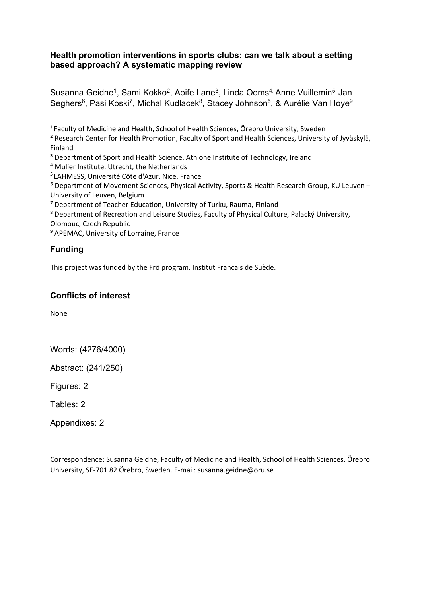# **Health promotion interventions in sports clubs: can we talk about a setting based approach? A systematic mapping review**

Susanna Geidne<sup>1</sup>, Sami Kokko<sup>2</sup>, Aoife Lane<sup>3</sup>, Linda Ooms<sup>4,</sup> Anne Vuillemin<sup>5,</sup> Jan Seghers<sup>6</sup>, Pasi Koski<sup>7</sup>, Michal Kudlacek<sup>8</sup>, Stacey Johnson<sup>5</sup>, & Aurélie Van Hoye<sup>9</sup>

<sup>1</sup> Faculty of Medicine and Health, School of Health Sciences, Örebro University, Sweden

² Research Center for Health Promotion, Faculty of Sport and Health Sciences, University of Jyväskylä, Finland

<sup>3</sup> Department of Sport and Health Science, Athlone Institute of Technology, Ireland

⁴ Mulier Institute, Utrecht, the Netherlands

5 LAHMESS, Université Côte d'Azur, Nice, France

⁶ Department of Movement Sciences, Physical Activity, Sports & Health Research Group, KU Leuven – University of Leuven, Belgium

⁷ Department of Teacher Education, University of Turku, Rauma, Finland

<sup>8</sup> Department of Recreation and Leisure Studies, Faculty of Physical Culture, Palacký University, Olomouc, Czech Republic

<sup>9</sup> APEMAC, University of Lorraine, France

# **Funding**

This project was funded by the Frö program. Institut Français de Suède.

# **Conflicts of interest**

None

Words: (4276/4000)

Abstract: (241/250)

Figures: 2

Tables: 2

Appendixes: 2

Correspondence: Susanna Geidne, Faculty of Medicine and Health, School of Health Sciences, Örebro University, SE-701 82 Örebro, Sweden. E-mail: susanna.geidne@oru.se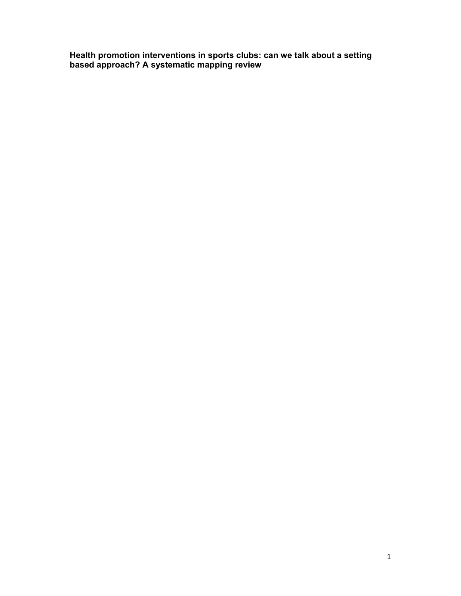**Health promotion interventions in sports clubs: can we talk about a setting based approach? A systematic mapping review**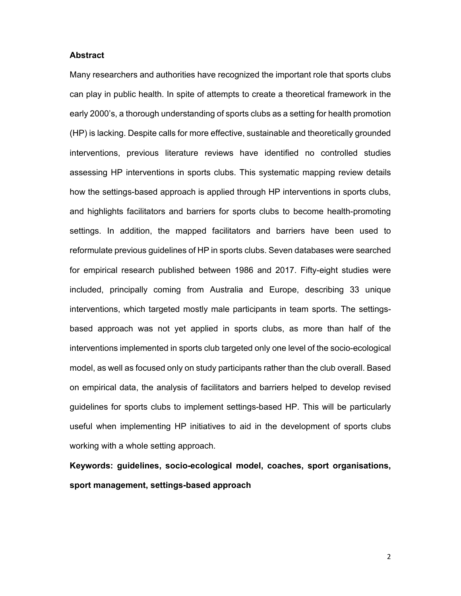#### **Abstract**

Many researchers and authorities have recognized the important role that sports clubs can play in public health. In spite of attempts to create a theoretical framework in the early 2000's, a thorough understanding of sports clubs as a setting for health promotion (HP) is lacking. Despite calls for more effective, sustainable and theoretically grounded interventions, previous literature reviews have identified no controlled studies assessing HP interventions in sports clubs. This systematic mapping review details how the settings-based approach is applied through HP interventions in sports clubs, and highlights facilitators and barriers for sports clubs to become health-promoting settings. In addition, the mapped facilitators and barriers have been used to reformulate previous guidelines of HP in sports clubs. Seven databases were searched for empirical research published between 1986 and 2017. Fifty-eight studies were included, principally coming from Australia and Europe, describing 33 unique interventions, which targeted mostly male participants in team sports. The settingsbased approach was not yet applied in sports clubs, as more than half of the interventions implemented in sports club targeted only one level of the socio-ecological model, as well as focused only on study participants rather than the club overall. Based on empirical data, the analysis of facilitators and barriers helped to develop revised guidelines for sports clubs to implement settings-based HP. This will be particularly useful when implementing HP initiatives to aid in the development of sports clubs working with a whole setting approach.

**Keywords: guidelines, socio-ecological model, coaches, sport organisations, sport management, settings-based approach**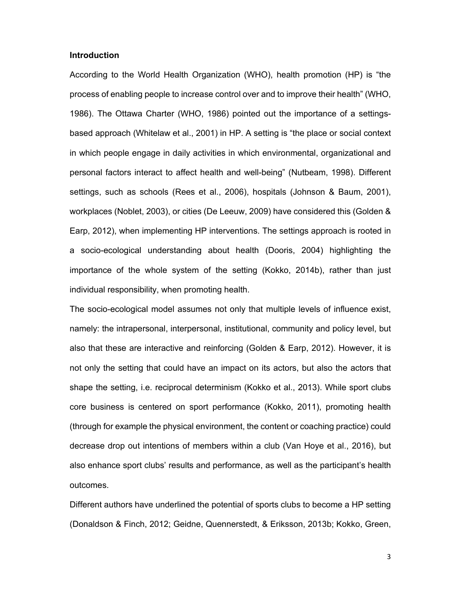#### **Introduction**

According to the World Health Organization (WHO), health promotion (HP) is "the process of enabling people to increase control over and to improve their health" (WHO, 1986). The Ottawa Charter (WHO, 1986) pointed out the importance of a settingsbased approach (Whitelaw et al., 2001) in HP. A setting is "the place or social context in which people engage in daily activities in which environmental, organizational and personal factors interact to affect health and well-being" (Nutbeam, 1998). Different settings, such as schools (Rees et al., 2006), hospitals (Johnson & Baum, 2001), workplaces (Noblet, 2003), or cities (De Leeuw, 2009) have considered this (Golden & Earp, 2012), when implementing HP interventions. The settings approach is rooted in a socio-ecological understanding about health (Dooris, 2004) highlighting the importance of the whole system of the setting (Kokko, 2014b), rather than just individual responsibility, when promoting health.

The socio-ecological model assumes not only that multiple levels of influence exist, namely: the intrapersonal, interpersonal, institutional, community and policy level, but also that these are interactive and reinforcing (Golden & Earp, 2012). However, it is not only the setting that could have an impact on its actors, but also the actors that shape the setting, i.e. reciprocal determinism (Kokko et al., 2013). While sport clubs core business is centered on sport performance (Kokko, 2011), promoting health (through for example the physical environment, the content or coaching practice) could decrease drop out intentions of members within a club (Van Hoye et al., 2016), but also enhance sport clubs' results and performance, as well as the participant's health outcomes.

Different authors have underlined the potential of sports clubs to become a HP setting (Donaldson & Finch, 2012; Geidne, Quennerstedt, & Eriksson, 2013b; Kokko, Green,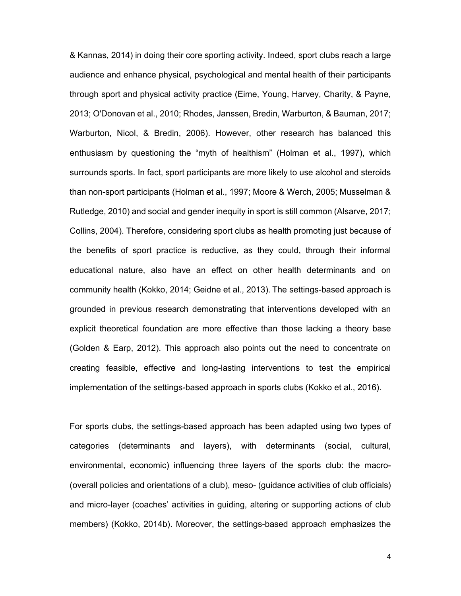& Kannas, 2014) in doing their core sporting activity. Indeed, sport clubs reach a large audience and enhance physical, psychological and mental health of their participants through sport and physical activity practice (Eime, Young, Harvey, Charity, & Payne, 2013; O'Donovan et al., 2010; Rhodes, Janssen, Bredin, Warburton, & Bauman, 2017; Warburton, Nicol, & Bredin, 2006). However, other research has balanced this enthusiasm by questioning the "myth of healthism" (Holman et al., 1997), which surrounds sports. In fact, sport participants are more likely to use alcohol and steroids than non-sport participants (Holman et al., 1997; Moore & Werch, 2005; Musselman & Rutledge, 2010) and social and gender inequity in sport is still common (Alsarve, 2017; Collins, 2004). Therefore, considering sport clubs as health promoting just because of the benefits of sport practice is reductive, as they could, through their informal educational nature, also have an effect on other health determinants and on community health (Kokko, 2014; Geidne et al., 2013). The settings-based approach is grounded in previous research demonstrating that interventions developed with an explicit theoretical foundation are more effective than those lacking a theory base (Golden & Earp, 2012). This approach also points out the need to concentrate on creating feasible, effective and long-lasting interventions to test the empirical implementation of the settings-based approach in sports clubs (Kokko et al., 2016).

For sports clubs, the settings-based approach has been adapted using two types of categories (determinants and layers), with determinants (social, cultural, environmental, economic) influencing three layers of the sports club: the macro- (overall policies and orientations of a club), meso- (guidance activities of club officials) and micro-layer (coaches' activities in guiding, altering or supporting actions of club members) (Kokko, 2014b). Moreover, the settings-based approach emphasizes the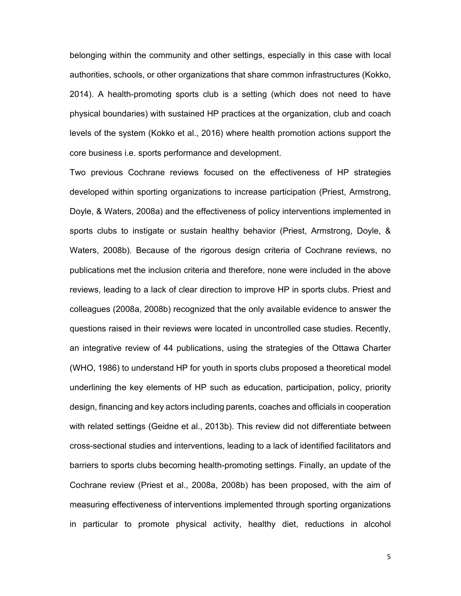belonging within the community and other settings, especially in this case with local authorities, schools, or other organizations that share common infrastructures (Kokko, 2014). A health-promoting sports club is a setting (which does not need to have physical boundaries) with sustained HP practices at the organization, club and coach levels of the system (Kokko et al., 2016) where health promotion actions support the core business i.e. sports performance and development.

Two previous Cochrane reviews focused on the effectiveness of HP strategies developed within sporting organizations to increase participation (Priest, Armstrong, Doyle, & Waters, 2008a) and the effectiveness of policy interventions implemented in sports clubs to instigate or sustain healthy behavior (Priest, Armstrong, Doyle, & Waters, 2008b). Because of the rigorous design criteria of Cochrane reviews, no publications met the inclusion criteria and therefore, none were included in the above reviews, leading to a lack of clear direction to improve HP in sports clubs. Priest and colleagues (2008a, 2008b) recognized that the only available evidence to answer the questions raised in their reviews were located in uncontrolled case studies. Recently, an integrative review of 44 publications, using the strategies of the Ottawa Charter (WHO, 1986) to understand HP for youth in sports clubs proposed a theoretical model underlining the key elements of HP such as education, participation, policy, priority design, financing and key actors including parents, coaches and officials in cooperation with related settings (Geidne et al., 2013b). This review did not differentiate between cross-sectional studies and interventions, leading to a lack of identified facilitators and barriers to sports clubs becoming health-promoting settings. Finally, an update of the Cochrane review (Priest et al., 2008a, 2008b) has been proposed, with the aim of measuring effectiveness of interventions implemented through sporting organizations in particular to promote physical activity, healthy diet, reductions in alcohol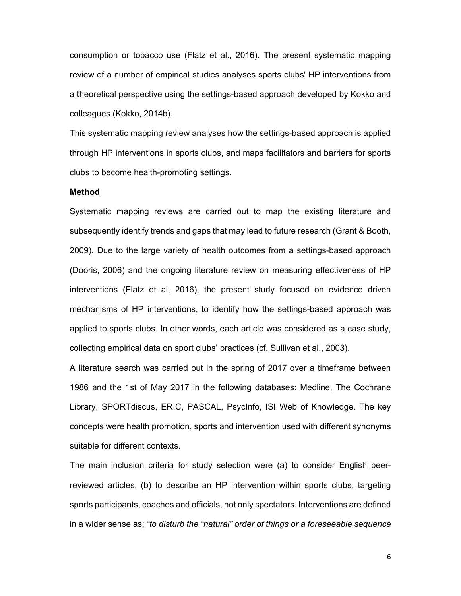consumption or tobacco use (Flatz et al., 2016). The present systematic mapping review of a number of empirical studies analyses sports clubs' HP interventions from a theoretical perspective using the settings-based approach developed by Kokko and colleagues (Kokko, 2014b).

This systematic mapping review analyses how the settings-based approach is applied through HP interventions in sports clubs, and maps facilitators and barriers for sports clubs to become health-promoting settings.

#### **Method**

Systematic mapping reviews are carried out to map the existing literature and subsequently identify trends and gaps that may lead to future research (Grant & Booth, 2009). Due to the large variety of health outcomes from a settings-based approach (Dooris, 2006) and the ongoing literature review on measuring effectiveness of HP interventions (Flatz et al, 2016), the present study focused on evidence driven mechanisms of HP interventions, to identify how the settings-based approach was applied to sports clubs. In other words, each article was considered as a case study, collecting empirical data on sport clubs' practices (cf. Sullivan et al., 2003).

A literature search was carried out in the spring of 2017 over a timeframe between 1986 and the 1st of May 2017 in the following databases: Medline, The Cochrane Library, SPORTdiscus, ERIC, PASCAL, PsycInfo, ISI Web of Knowledge. The key concepts were health promotion, sports and intervention used with different synonyms suitable for different contexts.

The main inclusion criteria for study selection were (a) to consider English peerreviewed articles, (b) to describe an HP intervention within sports clubs, targeting sports participants, coaches and officials, not only spectators. Interventions are defined in a wider sense as; *"to disturb the "natural" order of things or a foreseeable sequence*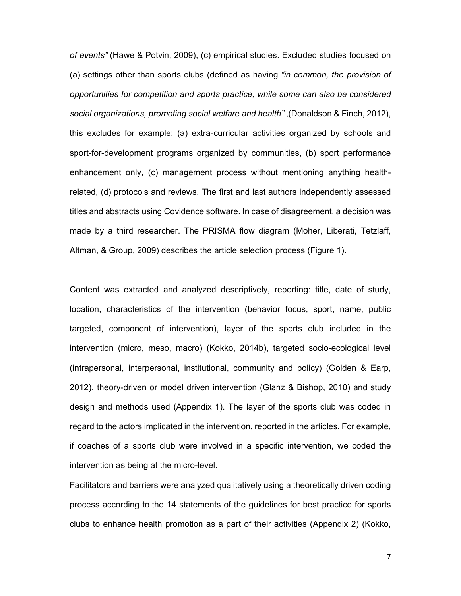*of events"* (Hawe & Potvin, 2009), (c) empirical studies. Excluded studies focused on (a) settings other than sports clubs (defined as having *"in common, the provision of opportunities for competition and sports practice, while some can also be considered social organizations, promoting social welfare and health"* ,(Donaldson & Finch, 2012), this excludes for example: (a) extra-curricular activities organized by schools and sport-for-development programs organized by communities, (b) sport performance enhancement only, (c) management process without mentioning anything healthrelated, (d) protocols and reviews. The first and last authors independently assessed titles and abstracts using Covidence software. In case of disagreement, a decision was made by a third researcher. The PRISMA flow diagram (Moher, Liberati, Tetzlaff, Altman, & Group, 2009) describes the article selection process (Figure 1).

Content was extracted and analyzed descriptively, reporting: title, date of study, location, characteristics of the intervention (behavior focus, sport, name, public targeted, component of intervention), layer of the sports club included in the intervention (micro, meso, macro) (Kokko, 2014b), targeted socio-ecological level (intrapersonal, interpersonal, institutional, community and policy) (Golden & Earp, 2012), theory-driven or model driven intervention (Glanz & Bishop, 2010) and study design and methods used (Appendix 1). The layer of the sports club was coded in regard to the actors implicated in the intervention, reported in the articles. For example, if coaches of a sports club were involved in a specific intervention, we coded the intervention as being at the micro-level.

Facilitators and barriers were analyzed qualitatively using a theoretically driven coding process according to the 14 statements of the guidelines for best practice for sports clubs to enhance health promotion as a part of their activities (Appendix 2) (Kokko,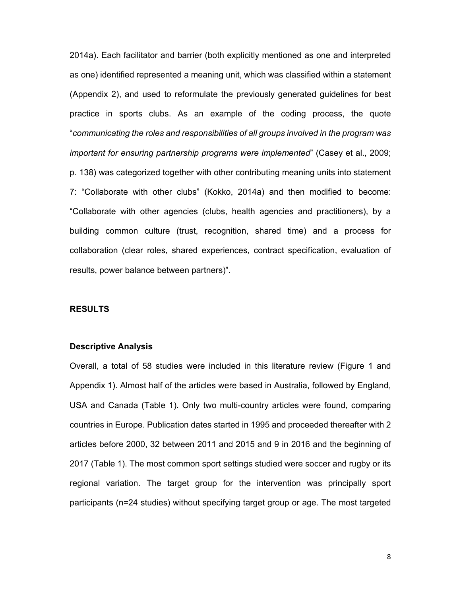2014a). Each facilitator and barrier (both explicitly mentioned as one and interpreted as one) identified represented a meaning unit, which was classified within a statement (Appendix 2), and used to reformulate the previously generated guidelines for best practice in sports clubs. As an example of the coding process, the quote "*communicating the roles and responsibilities of all groups involved in the program was important for ensuring partnership programs were implemented*" (Casey et al., 2009; p. 138) was categorized together with other contributing meaning units into statement 7: "Collaborate with other clubs" (Kokko, 2014a) and then modified to become: "Collaborate with other agencies (clubs, health agencies and practitioners), by a building common culture (trust, recognition, shared time) and a process for collaboration (clear roles, shared experiences, contract specification, evaluation of results, power balance between partners)".

### **RESULTS**

#### **Descriptive Analysis**

Overall, a total of 58 studies were included in this literature review (Figure 1 and Appendix 1). Almost half of the articles were based in Australia, followed by England, USA and Canada (Table 1). Only two multi-country articles were found, comparing countries in Europe. Publication dates started in 1995 and proceeded thereafter with 2 articles before 2000, 32 between 2011 and 2015 and 9 in 2016 and the beginning of 2017 (Table 1). The most common sport settings studied were soccer and rugby or its regional variation. The target group for the intervention was principally sport participants (n=24 studies) without specifying target group or age. The most targeted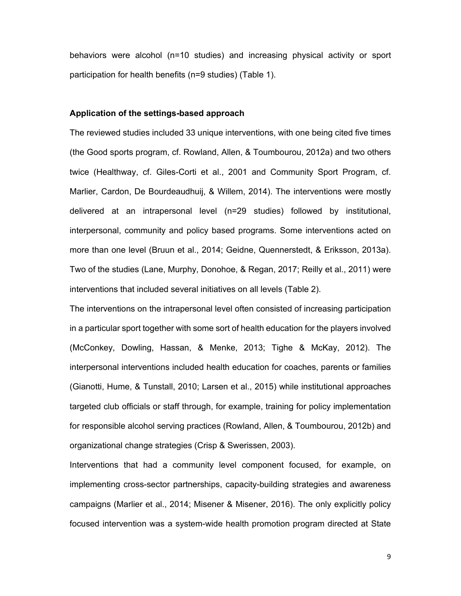behaviors were alcohol (n=10 studies) and increasing physical activity or sport participation for health benefits (n=9 studies) (Table 1).

### **Application of the settings-based approach**

The reviewed studies included 33 unique interventions, with one being cited five times (the Good sports program, cf. Rowland, Allen, & Toumbourou, 2012a) and two others twice (Healthway, cf. Giles-Corti et al., 2001 and Community Sport Program, cf. Marlier, Cardon, De Bourdeaudhuij, & Willem, 2014). The interventions were mostly delivered at an intrapersonal level (n=29 studies) followed by institutional, interpersonal, community and policy based programs. Some interventions acted on more than one level (Bruun et al., 2014; Geidne, Quennerstedt, & Eriksson, 2013a). Two of the studies (Lane, Murphy, Donohoe, & Regan, 2017; Reilly et al., 2011) were interventions that included several initiatives on all levels (Table 2).

The interventions on the intrapersonal level often consisted of increasing participation in a particular sport together with some sort of health education for the players involved (McConkey, Dowling, Hassan, & Menke, 2013; Tighe & McKay, 2012). The interpersonal interventions included health education for coaches, parents or families (Gianotti, Hume, & Tunstall, 2010; Larsen et al., 2015) while institutional approaches targeted club officials or staff through, for example, training for policy implementation for responsible alcohol serving practices (Rowland, Allen, & Toumbourou, 2012b) and organizational change strategies (Crisp & Swerissen, 2003).

Interventions that had a community level component focused, for example, on implementing cross-sector partnerships, capacity-building strategies and awareness campaigns (Marlier et al., 2014; Misener & Misener, 2016). The only explicitly policy focused intervention was a system-wide health promotion program directed at State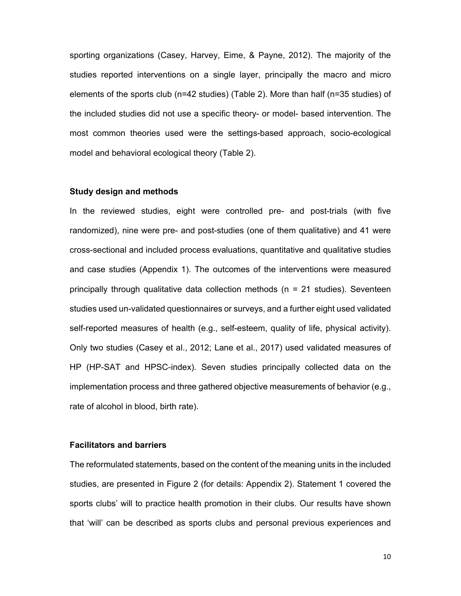sporting organizations (Casey, Harvey, Eime, & Payne, 2012). The majority of the studies reported interventions on a single layer, principally the macro and micro elements of the sports club (n=42 studies) (Table 2). More than half (n=35 studies) of the included studies did not use a specific theory- or model- based intervention. The most common theories used were the settings-based approach, socio-ecological model and behavioral ecological theory (Table 2).

### **Study design and methods**

In the reviewed studies, eight were controlled pre- and post-trials (with five randomized), nine were pre- and post-studies (one of them qualitative) and 41 were cross-sectional and included process evaluations, quantitative and qualitative studies and case studies (Appendix 1). The outcomes of the interventions were measured principally through qualitative data collection methods ( $n = 21$  studies). Seventeen studies used un-validated questionnaires or surveys, and a further eight used validated self-reported measures of health (e.g., self-esteem, quality of life, physical activity). Only two studies (Casey et al., 2012; Lane et al., 2017) used validated measures of HP (HP-SAT and HPSC-index). Seven studies principally collected data on the implementation process and three gathered objective measurements of behavior (e.g., rate of alcohol in blood, birth rate).

## **Facilitators and barriers**

The reformulated statements, based on the content of the meaning units in the included studies, are presented in Figure 2 (for details: Appendix 2). Statement 1 covered the sports clubs' will to practice health promotion in their clubs. Our results have shown that 'will' can be described as sports clubs and personal previous experiences and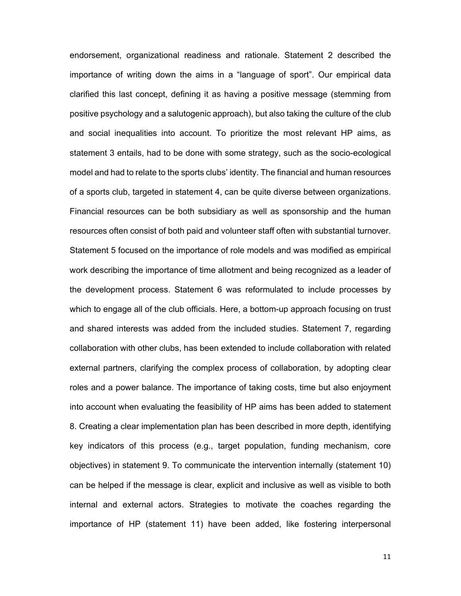endorsement, organizational readiness and rationale. Statement 2 described the importance of writing down the aims in a "language of sport". Our empirical data clarified this last concept, defining it as having a positive message (stemming from positive psychology and a salutogenic approach), but also taking the culture of the club and social inequalities into account. To prioritize the most relevant HP aims, as statement 3 entails, had to be done with some strategy, such as the socio-ecological model and had to relate to the sports clubs' identity. The financial and human resources of a sports club, targeted in statement 4, can be quite diverse between organizations. Financial resources can be both subsidiary as well as sponsorship and the human resources often consist of both paid and volunteer staff often with substantial turnover. Statement 5 focused on the importance of role models and was modified as empirical work describing the importance of time allotment and being recognized as a leader of the development process. Statement 6 was reformulated to include processes by which to engage all of the club officials. Here, a bottom-up approach focusing on trust and shared interests was added from the included studies. Statement 7, regarding collaboration with other clubs, has been extended to include collaboration with related external partners, clarifying the complex process of collaboration, by adopting clear roles and a power balance. The importance of taking costs, time but also enjoyment into account when evaluating the feasibility of HP aims has been added to statement 8. Creating a clear implementation plan has been described in more depth, identifying key indicators of this process (e.g., target population, funding mechanism, core objectives) in statement 9. To communicate the intervention internally (statement 10) can be helped if the message is clear, explicit and inclusive as well as visible to both internal and external actors. Strategies to motivate the coaches regarding the importance of HP (statement 11) have been added, like fostering interpersonal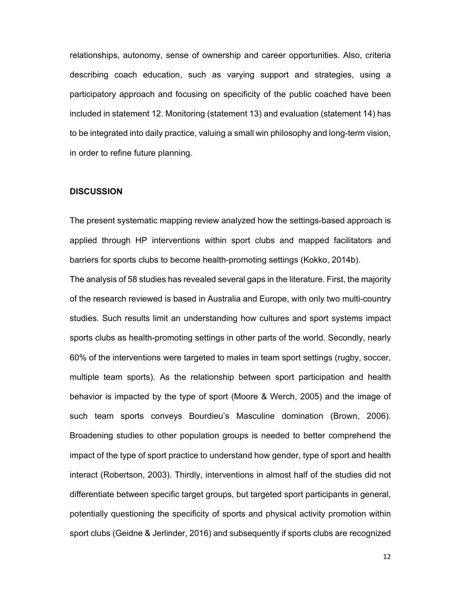relationships, autonomy, sense of ownership and career opportunities. Also, criteria describing coach education, such as varying support and strategies, using a participatory approach and focusing on specificity of the public coached have been included in statement 12. Monitoring (statement 13) and evaluation (statement 14) has to be integrated into daily practice, valuing a small win philosophy and long-term vision, in order to refine future planning.

#### **DISCUSSION**

The present systematic mapping review analyzed how the settings-based approach is applied through HP interventions within sport clubs and mapped facilitators and barriers for sports clubs to become health-promoting settings (Kokko, 2014b).

The analysis of 58 studies has revealed several gaps in the literature. First, the majority of the research reviewed is based in Australia and Europe, with only two multi-country studies. Such results limit an understanding how cultures and sport systems impact sports clubs as health-promoting settings in other parts of the world. Secondly, nearly 60% of the interventions were targeted to males in team sport settings (rugby, soccer, multiple team sports). As the relationship between sport participation and health behavior is impacted by the type of sport (Moore & Werch, 2005) and the image of such team sports conveys Bourdieu's Masculine domination (Brown, 2006). Broadening studies to other population groups is needed to better comprehend the impact of the type of sport practice to understand how gender, type of sport and health interact (Robertson, 2003). Thirdly, interventions in almost half of the studies did not differentiate between specific target groups, but targeted sport participants in general, potentially questioning the specificity of sports and physical activity promotion within sport clubs (Geidne & Jerlinder, 2016) and subsequently if sports clubs are recognized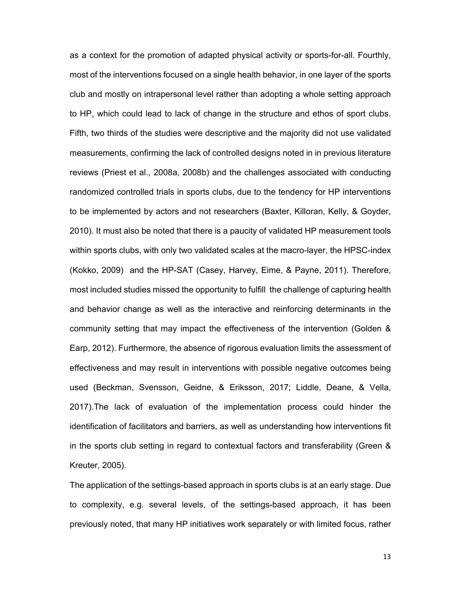as a context for the promotion of adapted physical activity or sports-for-all. Fourthly, most of the interventions focused on a single health behavior, in one layer of the sports club and mostly on intrapersonal level rather than adopting a whole setting approach to HP, which could lead to lack of change in the structure and ethos of sport clubs. Fifth, two thirds of the studies were descriptive and the majority did not use validated measurements, confirming the lack of controlled designs noted in in previous literature reviews (Priest et al., 2008a, 2008b) and the challenges associated with conducting randomized controlled trials in sports clubs, due to the tendency for HP interventions to be implemented by actors and not researchers (Baxter, Killoran, Kelly, & Goyder, 2010). It must also be noted that there is a paucity of validated HP measurement tools within sports clubs, with only two validated scales at the macro-layer, the HPSC-index (Kokko, 2009) and the HP-SAT (Casey, Harvey, Eime, & Payne, 2011). Therefore, most included studies missed the opportunity to fulfill the challenge of capturing health and behavior change as well as the interactive and reinforcing determinants in the community setting that may impact the effectiveness of the intervention (Golden & Earp, 2012). Furthermore, the absence of rigorous evaluation limits the assessment of effectiveness and may result in interventions with possible negative outcomes being used (Beckman, Svensson, Geidne, & Eriksson, 2017; Liddle, Deane, & Vella, 2017).The lack of evaluation of the implementation process could hinder the identification of facilitators and barriers, as well as understanding how interventions fit in the sports club setting in regard to contextual factors and transferability (Green & Kreuter, 2005).

The application of the settings-based approach in sports clubs is at an early stage. Due to complexity, e.g. several levels, of the settings-based approach, it has been previously noted, that many HP initiatives work separately or with limited focus, rather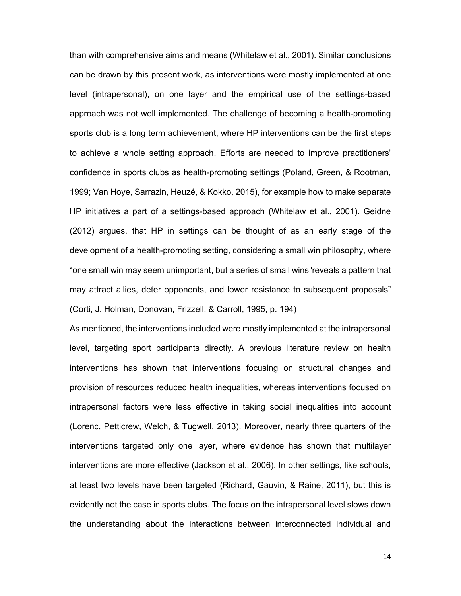than with comprehensive aims and means (Whitelaw et al., 2001). Similar conclusions can be drawn by this present work, as interventions were mostly implemented at one level (intrapersonal), on one layer and the empirical use of the settings-based approach was not well implemented. The challenge of becoming a health-promoting sports club is a long term achievement, where HP interventions can be the first steps to achieve a whole setting approach. Efforts are needed to improve practitioners' confidence in sports clubs as health-promoting settings (Poland, Green, & Rootman, 1999; Van Hoye, Sarrazin, Heuzé, & Kokko, 2015), for example how to make separate HP initiatives a part of a settings-based approach (Whitelaw et al., 2001). Geidne (2012) argues, that HP in settings can be thought of as an early stage of the development of a health-promoting setting, considering a small win philosophy, where "one small win may seem unimportant, but a series of small wins 'reveals a pattern that may attract allies, deter opponents, and lower resistance to subsequent proposals" (Corti, J. Holman, Donovan, Frizzell, & Carroll, 1995, p. 194)

As mentioned, the interventions included were mostly implemented at the intrapersonal level, targeting sport participants directly. A previous literature review on health interventions has shown that interventions focusing on structural changes and provision of resources reduced health inequalities, whereas interventions focused on intrapersonal factors were less effective in taking social inequalities into account (Lorenc, Petticrew, Welch, & Tugwell, 2013). Moreover, nearly three quarters of the interventions targeted only one layer, where evidence has shown that multilayer interventions are more effective (Jackson et al., 2006). In other settings, like schools, at least two levels have been targeted (Richard, Gauvin, & Raine, 2011), but this is evidently not the case in sports clubs. The focus on the intrapersonal level slows down the understanding about the interactions between interconnected individual and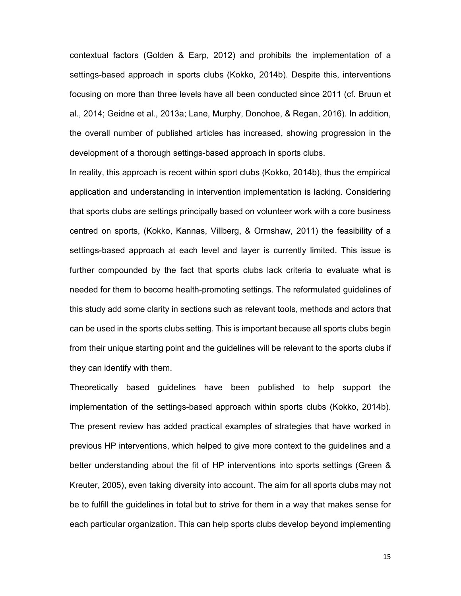contextual factors (Golden & Earp, 2012) and prohibits the implementation of a settings-based approach in sports clubs (Kokko, 2014b). Despite this, interventions focusing on more than three levels have all been conducted since 2011 (cf. Bruun et al., 2014; Geidne et al., 2013a; Lane, Murphy, Donohoe, & Regan, 2016). In addition, the overall number of published articles has increased, showing progression in the development of a thorough settings-based approach in sports clubs.

In reality, this approach is recent within sport clubs (Kokko, 2014b), thus the empirical application and understanding in intervention implementation is lacking. Considering that sports clubs are settings principally based on volunteer work with a core business centred on sports, (Kokko, Kannas, Villberg, & Ormshaw, 2011) the feasibility of a settings-based approach at each level and layer is currently limited. This issue is further compounded by the fact that sports clubs lack criteria to evaluate what is needed for them to become health-promoting settings. The reformulated guidelines of this study add some clarity in sections such as relevant tools, methods and actors that can be used in the sports clubs setting. This is important because all sports clubs begin from their unique starting point and the guidelines will be relevant to the sports clubs if they can identify with them.

Theoretically based guidelines have been published to help support the implementation of the settings-based approach within sports clubs (Kokko, 2014b). The present review has added practical examples of strategies that have worked in previous HP interventions, which helped to give more context to the guidelines and a better understanding about the fit of HP interventions into sports settings (Green & Kreuter, 2005), even taking diversity into account. The aim for all sports clubs may not be to fulfill the guidelines in total but to strive for them in a way that makes sense for each particular organization. This can help sports clubs develop beyond implementing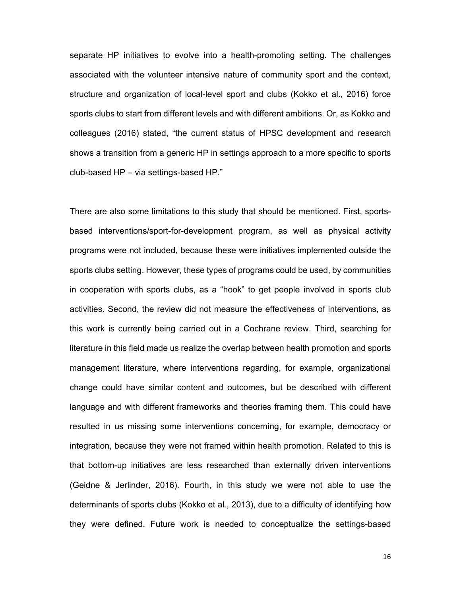separate HP initiatives to evolve into a health-promoting setting. The challenges associated with the volunteer intensive nature of community sport and the context, structure and organization of local-level sport and clubs (Kokko et al., 2016) force sports clubs to start from different levels and with different ambitions. Or, as Kokko and colleagues (2016) stated, "the current status of HPSC development and research shows a transition from a generic HP in settings approach to a more specific to sports club-based HP – via settings-based HP."

There are also some limitations to this study that should be mentioned. First, sportsbased interventions/sport-for-development program, as well as physical activity programs were not included, because these were initiatives implemented outside the sports clubs setting. However, these types of programs could be used, by communities in cooperation with sports clubs, as a "hook" to get people involved in sports club activities. Second, the review did not measure the effectiveness of interventions, as this work is currently being carried out in a Cochrane review. Third, searching for literature in this field made us realize the overlap between health promotion and sports management literature, where interventions regarding, for example, organizational change could have similar content and outcomes, but be described with different language and with different frameworks and theories framing them. This could have resulted in us missing some interventions concerning, for example, democracy or integration, because they were not framed within health promotion. Related to this is that bottom-up initiatives are less researched than externally driven interventions (Geidne & Jerlinder, 2016). Fourth, in this study we were not able to use the determinants of sports clubs (Kokko et al., 2013), due to a difficulty of identifying how they were defined. Future work is needed to conceptualize the settings-based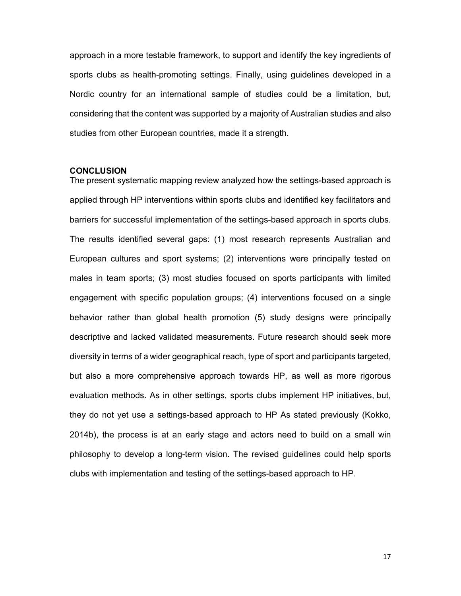approach in a more testable framework, to support and identify the key ingredients of sports clubs as health-promoting settings. Finally, using guidelines developed in a Nordic country for an international sample of studies could be a limitation, but, considering that the content was supported by a majority of Australian studies and also studies from other European countries, made it a strength.

## **CONCLUSION**

The present systematic mapping review analyzed how the settings-based approach is applied through HP interventions within sports clubs and identified key facilitators and barriers for successful implementation of the settings-based approach in sports clubs. The results identified several gaps: (1) most research represents Australian and European cultures and sport systems; (2) interventions were principally tested on males in team sports; (3) most studies focused on sports participants with limited engagement with specific population groups; (4) interventions focused on a single behavior rather than global health promotion (5) study designs were principally descriptive and lacked validated measurements. Future research should seek more diversity in terms of a wider geographical reach, type of sport and participants targeted, but also a more comprehensive approach towards HP, as well as more rigorous evaluation methods. As in other settings, sports clubs implement HP initiatives, but, they do not yet use a settings-based approach to HP As stated previously (Kokko, 2014b), the process is at an early stage and actors need to build on a small win philosophy to develop a long-term vision. The revised guidelines could help sports clubs with implementation and testing of the settings-based approach to HP.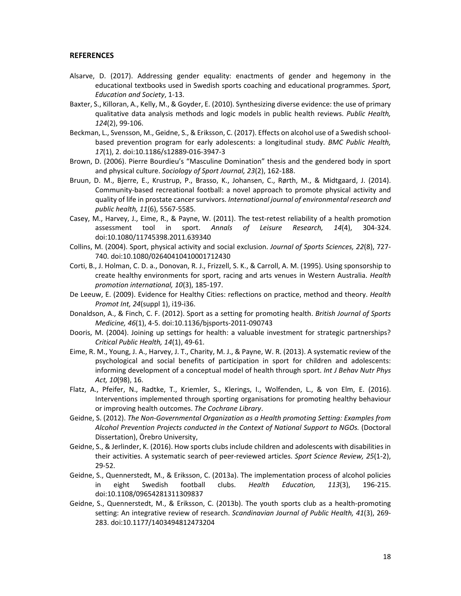#### **REFERENCES**

- Alsarve, D. (2017). Addressing gender equality: enactments of gender and hegemony in the educational textbooks used in Swedish sports coaching and educational programmes. *Sport, Education and Society*, 1‐13.
- Baxter, S., Killoran, A., Kelly, M., & Goyder, E. (2010). Synthesizing diverse evidence: the use of primary qualitative data analysis methods and logic models in public health reviews. *Public Health, 124*(2), 99‐106.
- Beckman, L., Svensson, M., Geidne, S., & Eriksson, C. (2017). Effects on alcohol use of a Swedish school‐ based prevention program for early adolescents: a longitudinal study. *BMC Public Health, 17*(1), 2. doi:10.1186/s12889‐016‐3947‐3
- Brown, D. (2006). Pierre Bourdieu's "Masculine Domination" thesis and the gendered body in sport and physical culture. *Sociology of Sport Journal, 23*(2), 162‐188.
- Bruun, D. M., Bjerre, E., Krustrup, P., Brasso, K., Johansen, C., Rørth, M., & Midtgaard, J. (2014). Community‐based recreational football: a novel approach to promote physical activity and quality of life in prostate cancer survivors. *International journal of environmental research and public health, 11*(6), 5567‐5585.
- Casey, M., Harvey, J., Eime, R., & Payne, W. (2011). The test-retest reliability of a health promotion assessment tool in sport. *Annals of Leisure Research, 14*(4), 304‐324. doi:10.1080/11745398.2011.639340
- Collins, M. (2004). Sport, physical activity and social exclusion. *Journal of Sports Sciences, 22*(8), 727‐ 740. doi:10.1080/02640410410001712430
- Corti, B., J. Holman, C. D. a., Donovan, R. J., Frizzell, S. K., & Carroll, A. M. (1995). Using sponsorship to create healthy environments for sport, racing and arts venues in Western Australia. *Health promotion international, 10*(3), 185‐197.
- De Leeuw, E. (2009). Evidence for Healthy Cities: reflections on practice, method and theory. *Health Promot Int, 24*(suppl 1), i19‐i36.
- Donaldson, A., & Finch, C. F. (2012). Sport as a setting for promoting health. *British Journal of Sports Medicine, 46*(1), 4‐5. doi:10.1136/bjsports‐2011‐090743
- Dooris, M. (2004). Joining up settings for health: a valuable investment for strategic partnerships? *Critical Public Health, 14*(1), 49‐61.
- Eime, R. M., Young, J. A., Harvey, J. T., Charity, M. J., & Payne, W. R. (2013). A systematic review of the psychological and social benefits of participation in sport for children and adolescents: informing development of a conceptual model of health through sport. *Int J Behav Nutr Phys Act, 10*(98), 16.
- Flatz, A., Pfeifer, N., Radtke, T., Kriemler, S., Klerings, I., Wolfenden, L., & von Elm, E. (2016). Interventions implemented through sporting organisations for promoting healthy behaviour or improving health outcomes. *The Cochrane Library*.
- Geidne, S. (2012). *The Non‐Governmental Organization as a Health promoting Setting: Examples from Alcohol Prevention Projects conducted in the Context of National Support to NGOs.* (Doctoral Dissertation), Örebro University,
- Geidne, S., & Jerlinder, K. (2016). How sports clubs include children and adolescents with disabilities in their activities. A systematic search of peer‐reviewed articles. *Sport Science Review, 25*(1‐2), 29‐52.
- Geidne, S., Quennerstedt, M., & Eriksson, C. (2013a). The implementation process of alcohol policies in eight Swedish football clubs. *Health Education, 113*(3), 196‐215. doi:10.1108/09654281311309837
- Geidne, S., Quennerstedt, M., & Eriksson, C. (2013b). The youth sports club as a health-promoting setting: An integrative review of research. *Scandinavian Journal of Public Health, 41*(3), 269‐ 283. doi:10.1177/1403494812473204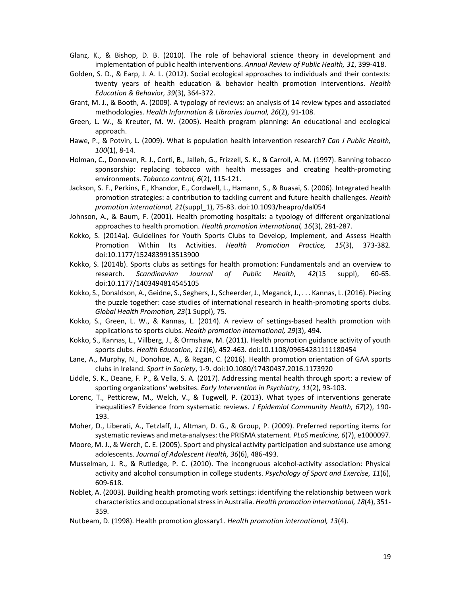- Glanz, K., & Bishop, D. B. (2010). The role of behavioral science theory in development and implementation of public health interventions. *Annual Review of Public Health, 31*, 399‐418.
- Golden, S. D., & Earp, J. A. L. (2012). Social ecological approaches to individuals and their contexts: twenty years of health education & behavior health promotion interventions. *Health Education & Behavior, 39*(3), 364‐372.
- Grant, M. J., & Booth, A. (2009). A typology of reviews: an analysis of 14 review types and associated methodologies. *Health Information & Libraries Journal, 26*(2), 91‐108.
- Green, L. W., & Kreuter, M. W. (2005). Health program planning: An educational and ecological approach.
- Hawe, P., & Potvin, L. (2009). What is population health intervention research? *Can J Public Health, 100*(1), 8‐14.
- Holman, C., Donovan, R. J., Corti, B., Jalleh, G., Frizzell, S. K., & Carroll, A. M. (1997). Banning tobacco sponsorship: replacing tobacco with health messages and creating health-promoting environments. *Tobacco control, 6*(2), 115‐121.
- Jackson, S. F., Perkins, F., Khandor, E., Cordwell, L., Hamann, S., & Buasai, S. (2006). Integrated health promotion strategies: a contribution to tackling current and future health challenges. *Health promotion international, 21*(suppl\_1), 75‐83. doi:10.1093/heapro/dal054
- Johnson, A., & Baum, F. (2001). Health promoting hospitals: a typology of different organizational approaches to health promotion. *Health promotion international, 16*(3), 281‐287.
- Kokko, S. (2014a). Guidelines for Youth Sports Clubs to Develop, Implement, and Assess Health Promotion Within Its Activities. *Health Promotion Practice, 15*(3), 373‐382. doi:10.1177/1524839913513900
- Kokko, S. (2014b). Sports clubs as settings for health promotion: Fundamentals and an overview to research. *Scandinavian Journal of Public Health, 42*(15 suppl), 60‐65. doi:10.1177/1403494814545105
- Kokko, S., Donaldson, A., Geidne, S., Seghers, J., Scheerder, J., Meganck, J., . . . Kannas, L. (2016). Piecing the puzzle together: case studies of international research in health-promoting sports clubs. *Global Health Promotion, 23*(1 Suppl), 75.
- Kokko, S., Green, L. W., & Kannas, L. (2014). A review of settings-based health promotion with applications to sports clubs. *Health promotion international, 29*(3), 494.
- Kokko, S., Kannas, L., Villberg, J., & Ormshaw, M. (2011). Health promotion guidance activity of youth sports clubs. *Health Education, 111*(6), 452‐463. doi:10.1108/09654281111180454
- Lane, A., Murphy, N., Donohoe, A., & Regan, C. (2016). Health promotion orientation of GAA sports clubs in Ireland. *Sport in Society*, 1‐9. doi:10.1080/17430437.2016.1173920
- Liddle, S. K., Deane, F. P., & Vella, S. A. (2017). Addressing mental health through sport: a review of sporting organizations' websites. *Early Intervention in Psychiatry, 11*(2), 93‐103.
- Lorenc, T., Petticrew, M., Welch, V., & Tugwell, P. (2013). What types of interventions generate inequalities? Evidence from systematic reviews. *J Epidemiol Community Health, 67*(2), 190-193.
- Moher, D., Liberati, A., Tetzlaff, J., Altman, D. G., & Group, P. (2009). Preferred reporting items for systematic reviews and meta‐analyses: the PRISMA statement. *PLoS medicine, 6*(7), e1000097.
- Moore, M. J., & Werch, C. E. (2005). Sport and physical activity participation and substance use among adolescents. *Journal of Adolescent Health, 36*(6), 486‐493.
- Musselman, J. R., & Rutledge, P. C. (2010). The incongruous alcohol‐activity association: Physical activity and alcohol consumption in college students. *Psychology of Sport and Exercise, 11*(6), 609‐618.
- Noblet, A. (2003). Building health promoting work settings: identifying the relationship between work characteristics and occupational stress in Australia. *Health promotion international, 18*(4), 351‐ 359.
- Nutbeam, D. (1998). Health promotion glossary1. *Health promotion international, 13*(4).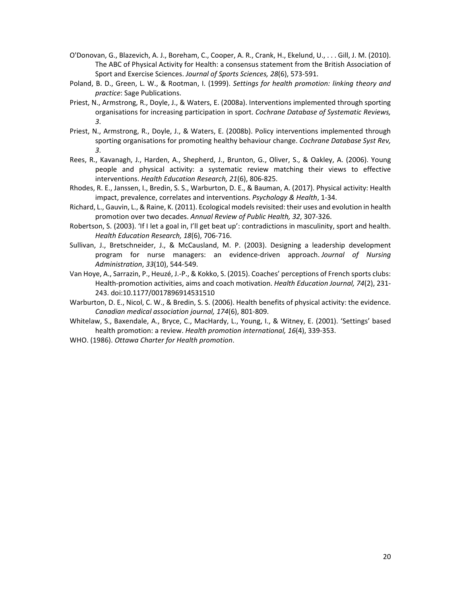- O'Donovan, G., Blazevich, A. J., Boreham, C., Cooper, A. R., Crank, H., Ekelund, U., . . . Gill, J. M. (2010). The ABC of Physical Activity for Health: a consensus statement from the British Association of Sport and Exercise Sciences. *Journal of Sports Sciences, 28*(6), 573‐591.
- Poland, B. D., Green, L. W., & Rootman, I. (1999). *Settings for health promotion: linking theory and practice*: Sage Publications.
- Priest, N., Armstrong, R., Doyle, J., & Waters, E. (2008a). Interventions implemented through sporting organisations for increasing participation in sport. *Cochrane Database of Systematic Reviews, 3*.
- Priest, N., Armstrong, R., Doyle, J., & Waters, E. (2008b). Policy interventions implemented through sporting organisations for promoting healthy behaviour change. *Cochrane Database Syst Rev, 3*.
- Rees, R., Kavanagh, J., Harden, A., Shepherd, J., Brunton, G., Oliver, S., & Oakley, A. (2006). Young people and physical activity: a systematic review matching their views to effective interventions. *Health Education Research, 21*(6), 806‐825.
- Rhodes, R. E., Janssen, I., Bredin, S. S., Warburton, D. E., & Bauman, A. (2017). Physical activity: Health impact, prevalence, correlates and interventions. *Psychology & Health*, 1‐34.
- Richard, L., Gauvin, L., & Raine, K. (2011). Ecological models revisited: their uses and evolution in health promotion over two decades. *Annual Review of Public Health, 32*, 307‐326.
- Robertson, S. (2003). 'If I let a goal in, I'll get beat up': contradictions in masculinity, sport and health. *Health Education Research, 18*(6), 706‐716.
- Sullivan, J., Bretschneider, J., & McCausland, M. P. (2003). Designing a leadership development program for nurse managers: an evidence‐driven approach. *Journal of Nursing Administration*, *33*(10), 544‐549.
- Van Hoye, A., Sarrazin, P., Heuzé, J.‐P., & Kokko, S. (2015). Coaches' perceptions of French sports clubs: Health‐promotion activities, aims and coach motivation. *Health Education Journal, 74*(2), 231‐ 243. doi:10.1177/0017896914531510
- Warburton, D. E., Nicol, C. W., & Bredin, S. S. (2006). Health benefits of physical activity: the evidence. *Canadian medical association journal, 174*(6), 801‐809.
- Whitelaw, S., Baxendale, A., Bryce, C., MacHardy, L., Young, I., & Witney, E. (2001). 'Settings' based health promotion: a review. *Health promotion international, 16*(4), 339‐353.
- WHO. (1986). *Ottawa Charter for Health promotion*.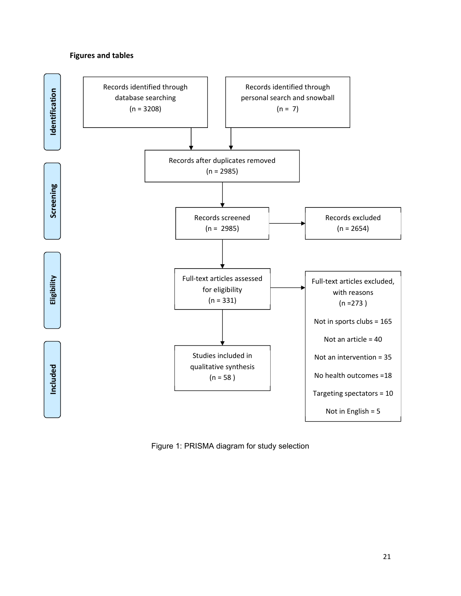## **Figures and tables**



Figure 1: PRISMA diagram for study selection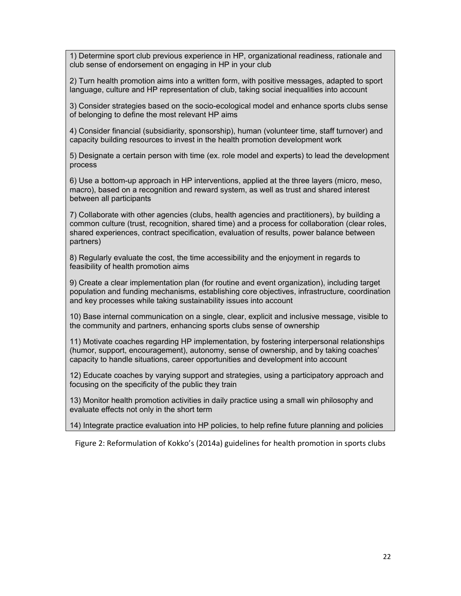1) Determine sport club previous experience in HP, organizational readiness, rationale and club sense of endorsement on engaging in HP in your club

2) Turn health promotion aims into a written form, with positive messages, adapted to sport language, culture and HP representation of club, taking social inequalities into account

3) Consider strategies based on the socio-ecological model and enhance sports clubs sense of belonging to define the most relevant HP aims

4) Consider financial (subsidiarity, sponsorship), human (volunteer time, staff turnover) and capacity building resources to invest in the health promotion development work

5) Designate a certain person with time (ex. role model and experts) to lead the development process

6) Use a bottom-up approach in HP interventions, applied at the three layers (micro, meso, macro), based on a recognition and reward system, as well as trust and shared interest between all participants

7) Collaborate with other agencies (clubs, health agencies and practitioners), by building a common culture (trust, recognition, shared time) and a process for collaboration (clear roles, shared experiences, contract specification, evaluation of results, power balance between partners)

8) Regularly evaluate the cost, the time accessibility and the enjoyment in regards to feasibility of health promotion aims

9) Create a clear implementation plan (for routine and event organization), including target population and funding mechanisms, establishing core objectives, infrastructure, coordination and key processes while taking sustainability issues into account

10) Base internal communication on a single, clear, explicit and inclusive message, visible to the community and partners, enhancing sports clubs sense of ownership

11) Motivate coaches regarding HP implementation, by fostering interpersonal relationships (humor, support, encouragement), autonomy, sense of ownership, and by taking coaches' capacity to handle situations, career opportunities and development into account

12) Educate coaches by varying support and strategies, using a participatory approach and focusing on the specificity of the public they train

13) Monitor health promotion activities in daily practice using a small win philosophy and evaluate effects not only in the short term

14) Integrate practice evaluation into HP policies, to help refine future planning and policies

Figure 2: Reformulation of Kokko's (2014a) guidelines for health promotion in sports clubs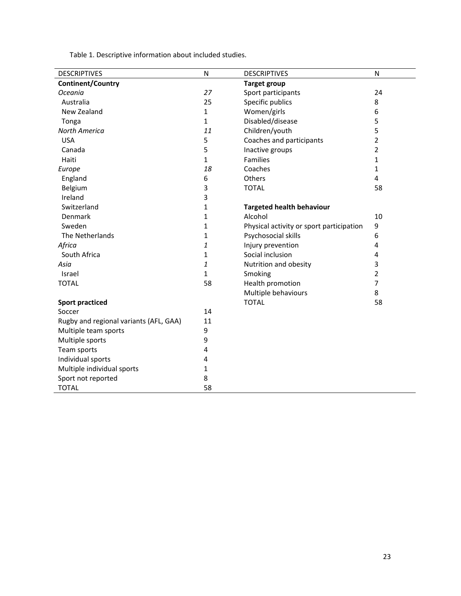Table 1. Descriptive information about included studies.

| <b>DESCRIPTIVES</b>                    | ${\sf N}$    | <b>DESCRIPTIVES</b>                      | N                       |
|----------------------------------------|--------------|------------------------------------------|-------------------------|
| <b>Continent/Country</b>               |              | <b>Target group</b>                      |                         |
| Oceania                                | 27           | Sport participants                       | 24                      |
| Australia                              | 25           | Specific publics                         | 8                       |
| New Zealand                            | 1            | Women/girls                              | 6                       |
| Tonga                                  | $\mathbf{1}$ | Disabled/disease                         | 5                       |
| North America                          | 11           | Children/youth                           | 5                       |
| <b>USA</b>                             | 5            | Coaches and participants                 | 2                       |
| Canada                                 | 5            | Inactive groups                          | 2                       |
| Haiti                                  | $\mathbf{1}$ | <b>Families</b>                          | $\mathbf 1$             |
| Europe                                 | 18           | Coaches                                  | 1                       |
| England                                | 6            | Others                                   | 4                       |
| Belgium                                | 3            | <b>TOTAL</b>                             | 58                      |
| Ireland                                | 3            |                                          |                         |
| Switzerland                            | 1            | <b>Targeted health behaviour</b>         |                         |
| Denmark                                | 1            | Alcohol                                  | 10                      |
| Sweden                                 | 1            | Physical activity or sport participation | 9                       |
| The Netherlands                        | 1            | Psychosocial skills                      | 6                       |
| Africa                                 | 1            | Injury prevention                        | 4                       |
| South Africa                           | 1            | Social inclusion                         | 4                       |
| Asia                                   | 1            | Nutrition and obesity                    | 3                       |
| Israel                                 | $\mathbf{1}$ | Smoking                                  | $\overline{\mathbf{c}}$ |
| <b>TOTAL</b>                           | 58           | Health promotion                         | 7                       |
|                                        |              | Multiple behaviours                      | 8                       |
| <b>Sport practiced</b>                 |              | <b>TOTAL</b>                             | 58                      |
| Soccer                                 | 14           |                                          |                         |
| Rugby and regional variants (AFL, GAA) | 11           |                                          |                         |
| Multiple team sports                   | 9            |                                          |                         |
| Multiple sports                        | 9            |                                          |                         |
| Team sports                            | 4            |                                          |                         |
| Individual sports                      | 4            |                                          |                         |
| Multiple individual sports             | 1            |                                          |                         |
| Sport not reported                     | 8            |                                          |                         |
| <b>TOTAL</b>                           | 58           |                                          |                         |